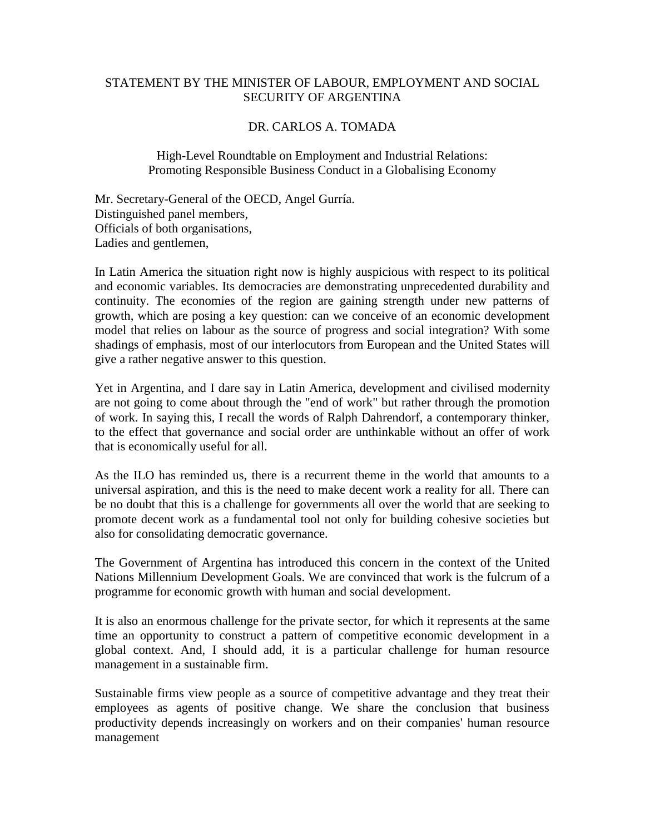## STATEMENT BY THE MINISTER OF LABOUR, EMPLOYMENT AND SOCIAL SECURITY OF ARGENTINA

## DR. CARLOS A. TOMADA

High-Level Roundtable on Employment and Industrial Relations: Promoting Responsible Business Conduct in a Globalising Economy

Mr. Secretary-General of the OECD, Angel Gurría. Distinguished panel members, Officials of both organisations, Ladies and gentlemen,

In Latin America the situation right now is highly auspicious with respect to its political and economic variables. Its democracies are demonstrating unprecedented durability and continuity. The economies of the region are gaining strength under new patterns of growth, which are posing a key question: can we conceive of an economic development model that relies on labour as the source of progress and social integration? With some shadings of emphasis, most of our interlocutors from European and the United States will give a rather negative answer to this question.

Yet in Argentina, and I dare say in Latin America, development and civilised modernity are not going to come about through the "end of work" but rather through the promotion of work. In saying this, I recall the words of Ralph Dahrendorf, a contemporary thinker, to the effect that governance and social order are unthinkable without an offer of work that is economically useful for all.

As the ILO has reminded us, there is a recurrent theme in the world that amounts to a universal aspiration, and this is the need to make decent work a reality for all. There can be no doubt that this is a challenge for governments all over the world that are seeking to promote decent work as a fundamental tool not only for building cohesive societies but also for consolidating democratic governance.

The Government of Argentina has introduced this concern in the context of the United Nations Millennium Development Goals. We are convinced that work is the fulcrum of a programme for economic growth with human and social development.

It is also an enormous challenge for the private sector, for which it represents at the same time an opportunity to construct a pattern of competitive economic development in a global context. And, I should add, it is a particular challenge for human resource management in a sustainable firm.

Sustainable firms view people as a source of competitive advantage and they treat their employees as agents of positive change. We share the conclusion that business productivity depends increasingly on workers and on their companies' human resource management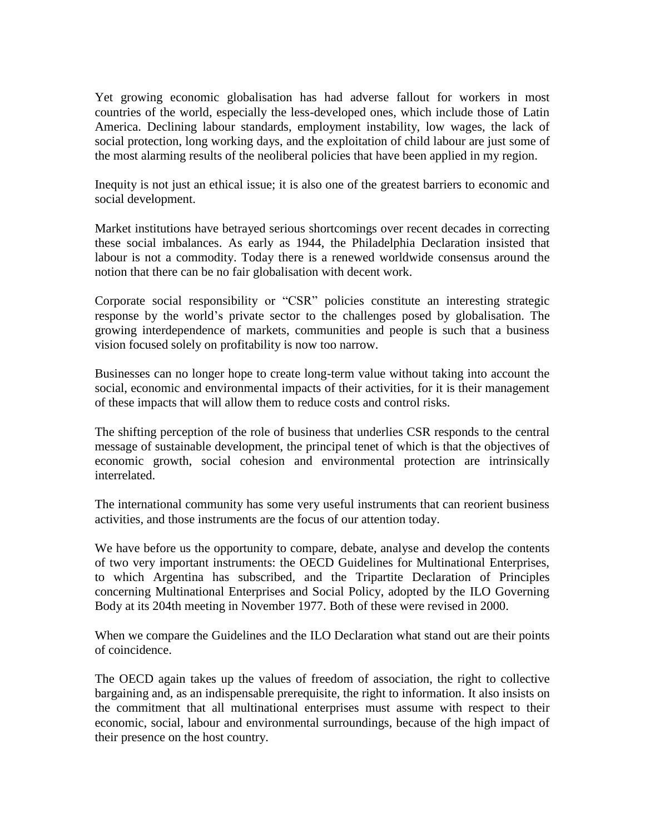Yet growing economic globalisation has had adverse fallout for workers in most countries of the world, especially the less-developed ones, which include those of Latin America. Declining labour standards, employment instability, low wages, the lack of social protection, long working days, and the exploitation of child labour are just some of the most alarming results of the neoliberal policies that have been applied in my region.

Inequity is not just an ethical issue; it is also one of the greatest barriers to economic and social development.

Market institutions have betrayed serious shortcomings over recent decades in correcting these social imbalances. As early as 1944, the Philadelphia Declaration insisted that labour is not a commodity. Today there is a renewed worldwide consensus around the notion that there can be no fair globalisation with decent work.

Corporate social responsibility or "CSR" policies constitute an interesting strategic response by the world's private sector to the challenges posed by globalisation. The growing interdependence of markets, communities and people is such that a business vision focused solely on profitability is now too narrow.

Businesses can no longer hope to create long-term value without taking into account the social, economic and environmental impacts of their activities, for it is their management of these impacts that will allow them to reduce costs and control risks.

The shifting perception of the role of business that underlies CSR responds to the central message of sustainable development, the principal tenet of which is that the objectives of economic growth, social cohesion and environmental protection are intrinsically interrelated.

The international community has some very useful instruments that can reorient business activities, and those instruments are the focus of our attention today.

We have before us the opportunity to compare, debate, analyse and develop the contents of two very important instruments: the OECD Guidelines for Multinational Enterprises, to which Argentina has subscribed, and the Tripartite Declaration of Principles concerning Multinational Enterprises and Social Policy, adopted by the ILO Governing Body at its 204th meeting in November 1977. Both of these were revised in 2000.

When we compare the Guidelines and the ILO Declaration what stand out are their points of coincidence.

The OECD again takes up the values of freedom of association, the right to collective bargaining and, as an indispensable prerequisite, the right to information. It also insists on the commitment that all multinational enterprises must assume with respect to their economic, social, labour and environmental surroundings, because of the high impact of their presence on the host country.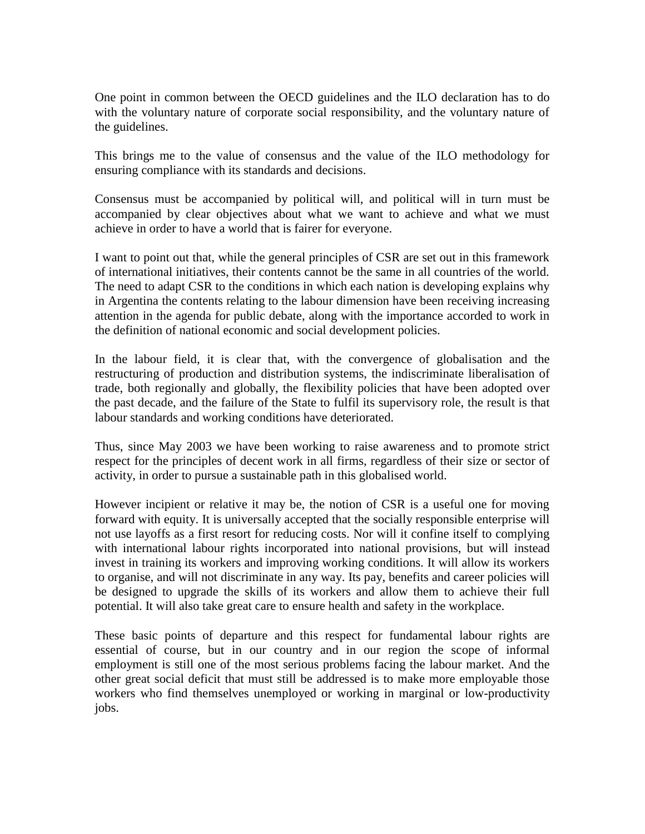One point in common between the OECD guidelines and the ILO declaration has to do with the voluntary nature of corporate social responsibility, and the voluntary nature of the guidelines.

This brings me to the value of consensus and the value of the ILO methodology for ensuring compliance with its standards and decisions.

Consensus must be accompanied by political will, and political will in turn must be accompanied by clear objectives about what we want to achieve and what we must achieve in order to have a world that is fairer for everyone.

I want to point out that, while the general principles of CSR are set out in this framework of international initiatives, their contents cannot be the same in all countries of the world. The need to adapt CSR to the conditions in which each nation is developing explains why in Argentina the contents relating to the labour dimension have been receiving increasing attention in the agenda for public debate, along with the importance accorded to work in the definition of national economic and social development policies.

In the labour field, it is clear that, with the convergence of globalisation and the restructuring of production and distribution systems, the indiscriminate liberalisation of trade, both regionally and globally, the flexibility policies that have been adopted over the past decade, and the failure of the State to fulfil its supervisory role, the result is that labour standards and working conditions have deteriorated.

Thus, since May 2003 we have been working to raise awareness and to promote strict respect for the principles of decent work in all firms, regardless of their size or sector of activity, in order to pursue a sustainable path in this globalised world.

However incipient or relative it may be, the notion of CSR is a useful one for moving forward with equity. It is universally accepted that the socially responsible enterprise will not use layoffs as a first resort for reducing costs. Nor will it confine itself to complying with international labour rights incorporated into national provisions, but will instead invest in training its workers and improving working conditions. It will allow its workers to organise, and will not discriminate in any way. Its pay, benefits and career policies will be designed to upgrade the skills of its workers and allow them to achieve their full potential. It will also take great care to ensure health and safety in the workplace.

These basic points of departure and this respect for fundamental labour rights are essential of course, but in our country and in our region the scope of informal employment is still one of the most serious problems facing the labour market. And the other great social deficit that must still be addressed is to make more employable those workers who find themselves unemployed or working in marginal or low-productivity jobs.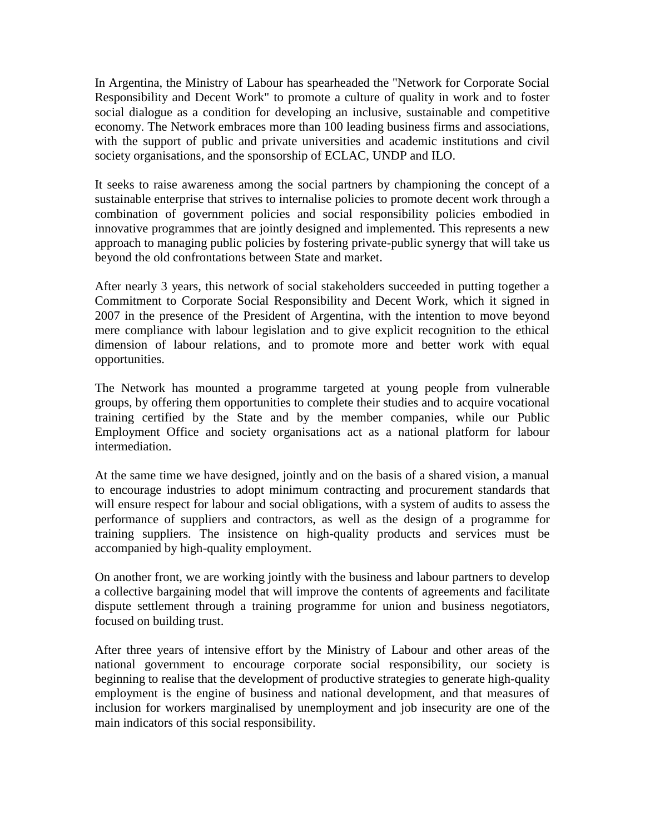In Argentina, the Ministry of Labour has spearheaded the "Network for Corporate Social Responsibility and Decent Work" to promote a culture of quality in work and to foster social dialogue as a condition for developing an inclusive, sustainable and competitive economy. The Network embraces more than 100 leading business firms and associations, with the support of public and private universities and academic institutions and civil society organisations, and the sponsorship of ECLAC, UNDP and ILO.

It seeks to raise awareness among the social partners by championing the concept of a sustainable enterprise that strives to internalise policies to promote decent work through a combination of government policies and social responsibility policies embodied in innovative programmes that are jointly designed and implemented. This represents a new approach to managing public policies by fostering private-public synergy that will take us beyond the old confrontations between State and market.

After nearly 3 years, this network of social stakeholders succeeded in putting together a Commitment to Corporate Social Responsibility and Decent Work, which it signed in 2007 in the presence of the President of Argentina, with the intention to move beyond mere compliance with labour legislation and to give explicit recognition to the ethical dimension of labour relations, and to promote more and better work with equal opportunities.

The Network has mounted a programme targeted at young people from vulnerable groups, by offering them opportunities to complete their studies and to acquire vocational training certified by the State and by the member companies, while our Public Employment Office and society organisations act as a national platform for labour intermediation.

At the same time we have designed, jointly and on the basis of a shared vision, a manual to encourage industries to adopt minimum contracting and procurement standards that will ensure respect for labour and social obligations, with a system of audits to assess the performance of suppliers and contractors, as well as the design of a programme for training suppliers. The insistence on high-quality products and services must be accompanied by high-quality employment.

On another front, we are working jointly with the business and labour partners to develop a collective bargaining model that will improve the contents of agreements and facilitate dispute settlement through a training programme for union and business negotiators, focused on building trust.

After three years of intensive effort by the Ministry of Labour and other areas of the national government to encourage corporate social responsibility, our society is beginning to realise that the development of productive strategies to generate high-quality employment is the engine of business and national development, and that measures of inclusion for workers marginalised by unemployment and job insecurity are one of the main indicators of this social responsibility.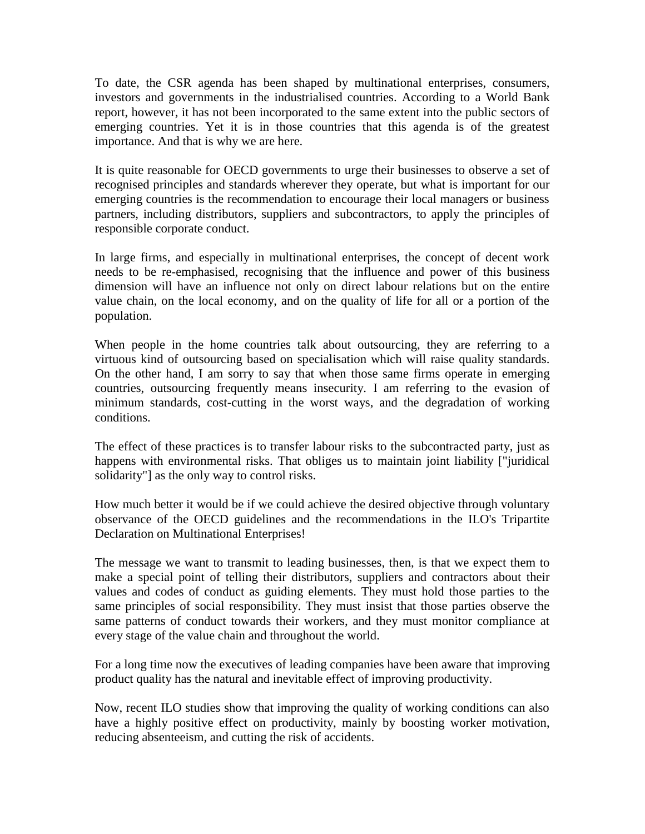To date, the CSR agenda has been shaped by multinational enterprises, consumers, investors and governments in the industrialised countries. According to a World Bank report, however, it has not been incorporated to the same extent into the public sectors of emerging countries. Yet it is in those countries that this agenda is of the greatest importance. And that is why we are here.

It is quite reasonable for OECD governments to urge their businesses to observe a set of recognised principles and standards wherever they operate, but what is important for our emerging countries is the recommendation to encourage their local managers or business partners, including distributors, suppliers and subcontractors, to apply the principles of responsible corporate conduct.

In large firms, and especially in multinational enterprises, the concept of decent work needs to be re-emphasised, recognising that the influence and power of this business dimension will have an influence not only on direct labour relations but on the entire value chain, on the local economy, and on the quality of life for all or a portion of the population.

When people in the home countries talk about outsourcing, they are referring to a virtuous kind of outsourcing based on specialisation which will raise quality standards. On the other hand, I am sorry to say that when those same firms operate in emerging countries, outsourcing frequently means insecurity. I am referring to the evasion of minimum standards, cost-cutting in the worst ways, and the degradation of working conditions.

The effect of these practices is to transfer labour risks to the subcontracted party, just as happens with environmental risks. That obliges us to maintain joint liability ["juridical solidarity"] as the only way to control risks.

How much better it would be if we could achieve the desired objective through voluntary observance of the OECD guidelines and the recommendations in the ILO's Tripartite Declaration on Multinational Enterprises!

The message we want to transmit to leading businesses, then, is that we expect them to make a special point of telling their distributors, suppliers and contractors about their values and codes of conduct as guiding elements. They must hold those parties to the same principles of social responsibility. They must insist that those parties observe the same patterns of conduct towards their workers, and they must monitor compliance at every stage of the value chain and throughout the world.

For a long time now the executives of leading companies have been aware that improving product quality has the natural and inevitable effect of improving productivity.

Now, recent ILO studies show that improving the quality of working conditions can also have a highly positive effect on productivity, mainly by boosting worker motivation, reducing absenteeism, and cutting the risk of accidents.